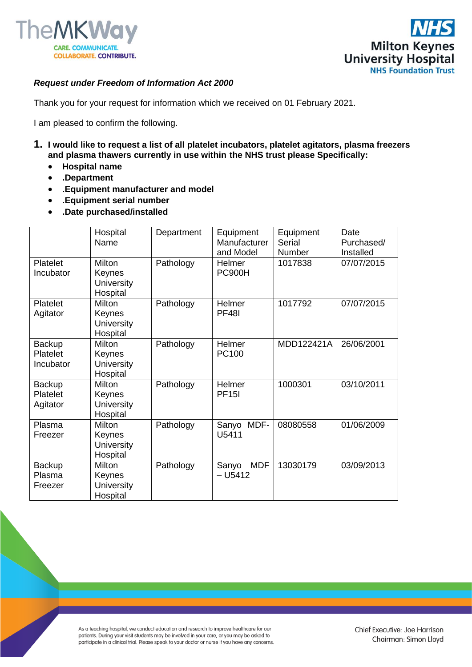



## *Request under Freedom of Information Act 2000*

Thank you for your request for information which we received on 01 February 2021.

I am pleased to confirm the following.

- **1. I would like to request a list of all platelet incubators, platelet agitators, plasma freezers and plasma thawers currently in use within the NHS trust please Specifically:**
	- **Hospital name**
	- **.Department**
	- **.Equipment manufacturer and model**
	- **.Equipment serial number**
	- **.Date purchased/installed**

|                                 | Hospital<br>Name                                  | Department | Equipment<br>Manufacturer<br>and Model | Equipment<br>Serial<br>Number | Date<br>Purchased/<br>Installed |
|---------------------------------|---------------------------------------------------|------------|----------------------------------------|-------------------------------|---------------------------------|
| Platelet<br>Incubator           | Milton<br>Keynes<br><b>University</b><br>Hospital | Pathology  | Helmer<br><b>PC900H</b>                | 1017838                       | 07/07/2015                      |
| Platelet<br>Agitator            | Milton<br>Keynes<br><b>University</b><br>Hospital | Pathology  | Helmer<br><b>PF481</b>                 | 1017792                       | 07/07/2015                      |
| Backup<br>Platelet<br>Incubator | Milton<br>Keynes<br><b>University</b><br>Hospital | Pathology  | Helmer<br>PC100                        | MDD122421A                    | 26/06/2001                      |
| Backup<br>Platelet<br>Agitator  | Milton<br>Keynes<br><b>University</b><br>Hospital | Pathology  | Helmer<br><b>PF15I</b>                 | 1000301                       | 03/10/2011                      |
| Plasma<br>Freezer               | Milton<br>Keynes<br><b>University</b><br>Hospital | Pathology  | MDF-<br>Sanyo<br>U5411                 | 08080558                      | 01/06/2009                      |
| Backup<br>Plasma<br>Freezer     | Milton<br>Keynes<br><b>University</b><br>Hospital | Pathology  | <b>MDF</b><br>Sanyo<br>$- U5412$       | 13030179                      | 03/09/2013                      |

As a teaching hospital, we conduct education and research to improve healthcare for our patients. During your visit students may be involved in your care, or you may be asked to participate in a clinical trial. Please speak to your doctor or nurse if you have any concerns.